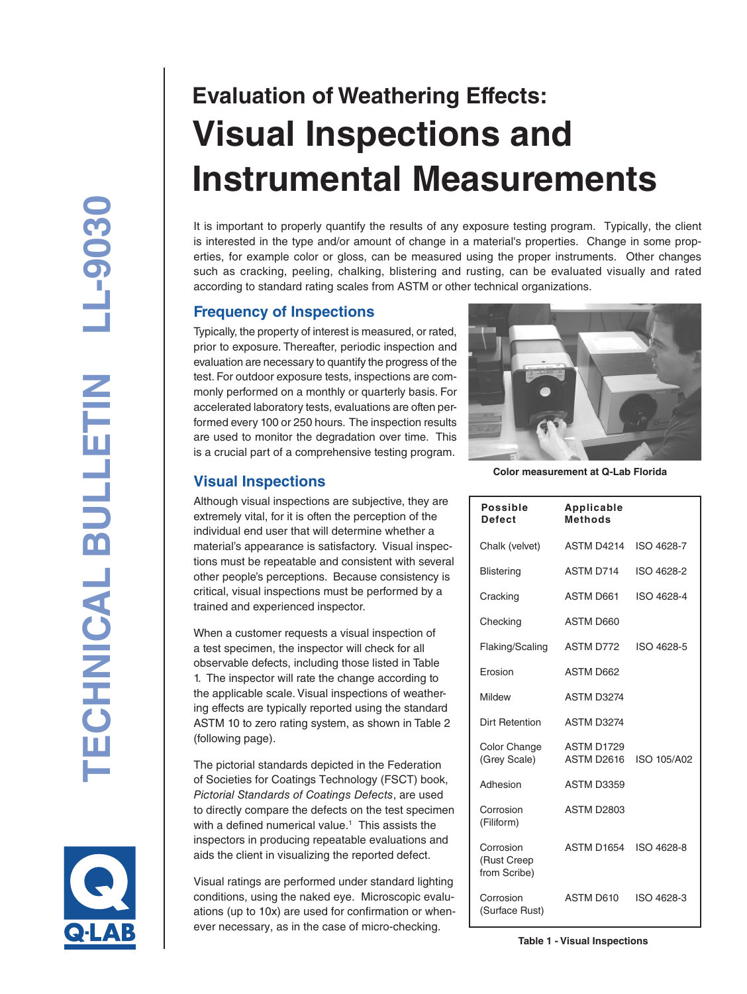# **Evaluation of Weathering Effects: Visual Inspections and Instrumental Measurements**

It is important to properly quantify the results of any exposure testing program. Typically, the client is interested in the type and/or amount of change in a material's properties. Change in some prop erties, for example color or gloss, can be measured using the proper instruments. Other changes such as cracking, peeling, chalking, blistering and rusting, can be evaluated visually and rated according to standard rating scales from ASTM or other technical organizations.

# **Frequency of Inspections**

Typically, the property of interest is measured, or rated, prior to exposure. Thereafter, periodic inspection and evaluation are necessary to quantify the progress of the test. For outdoor exposure tests, inspections are com monly performed on a monthly or quarterly basis. For accelerated laboratory tests, evaluations are often performed every 100 or 250 hours. The inspection results are used to monitor the degradation over time. This is a crucial part of a comprehensive testing program.

# **Visual Inspections**

Although visual inspections are subjective, they are extremely vital, for it is often the perception of the individual end user that will determine whether a material's appearance is satisfactory. Visual inspec tions must be repeatable and consistent with several other people's perceptions. Because consistency is critical, visual inspections must be performed by a trained and experienced inspector.

When a customer requests a visual inspection of a test specimen, the inspector will check for all observable defects, including those listed in Table 1. The inspector will rate the change according to the applicable scale. Visual inspections of weathering effects are typically reported using the standard ASTM 10 to zero rating system, as shown in Table 2 (following page).

The pictorial standards depicted in the Federation of Societies for Coatings Technology (FSCT) book, *Pictorial Standards of Coatings Defects*, are used to directly compare the defects on the test specimen with a defined numerical value. 1 This assists the inspectors in producing repeatable evaluations and aids the client in visualizing the reported defect.

Visual ratings are performed under standard lighting conditions, using the naked eye. Microscopic evalu ations (up to 10x) are used for confirmation or when ever necessary, as in the case of micro-checking.



**Color measurement at Q-Lab Florida**

| <b>Possible</b><br><b>Defect</b>         | Applicable<br><b>Methods</b> |             |
|------------------------------------------|------------------------------|-------------|
| Chalk (velvet)                           | ASTM D4214                   | ISO 4628-7  |
| <b>Blistering</b>                        | ASTM D714                    | ISO 4628-2  |
| Cracking                                 | <b>ASTM D661</b>             | ISO 4628-4  |
| Checking                                 | ASTM D660                    |             |
| Flaking/Scaling                          | ASTM D772                    | ISO 4628-5  |
| Erosion                                  | ASTM D662                    |             |
| Mildew                                   | ASTM D3274                   |             |
| <b>Dirt Retention</b>                    | ASTM D3274                   |             |
| Color Change<br>(Grey Scale)             | ASTM D1729<br>ASTM D2616     | ISO 105/A02 |
| Adhesion                                 | ASTM D3359                   |             |
| Corrosion<br>(Filiform)                  | <b>ASTM D2803</b>            |             |
| Corrosion<br>(Rust Creep<br>from Scribe) | ASTM D1654                   | ISO 4628-8  |
| Corrosion<br>(Surface Rust)              | ASTM D610                    | ISO 4628-3  |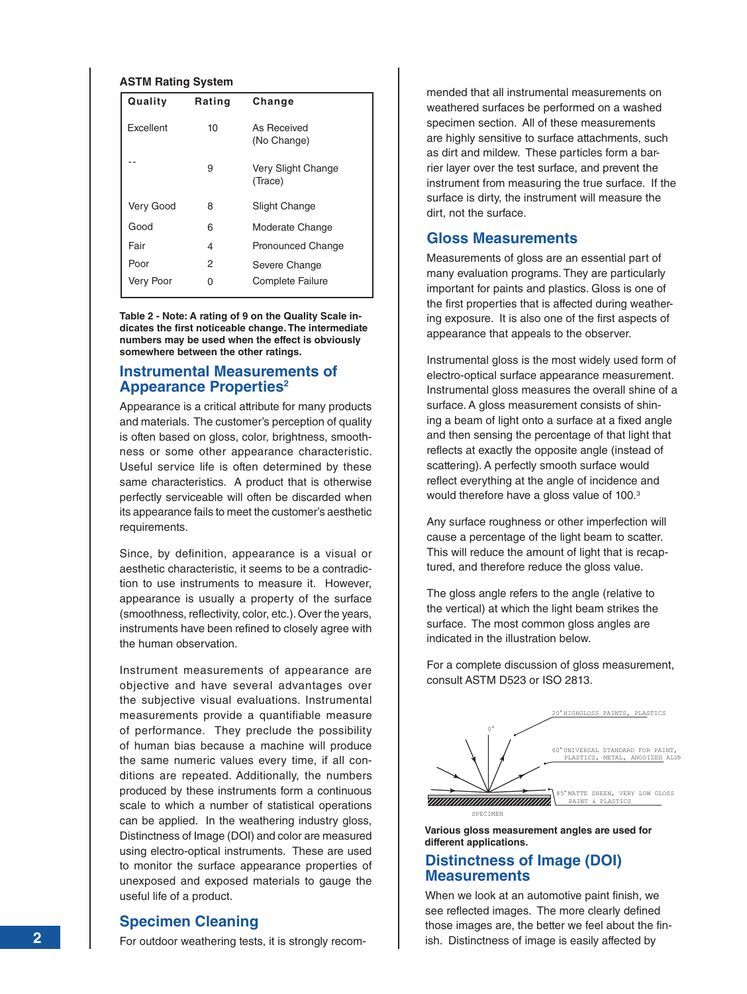#### **ASTM Rating System**

| Quality   | Rating | Change                        |
|-----------|--------|-------------------------------|
| Excellent | 10     | As Received<br>(No Change)    |
|           | 9      | Very Slight Change<br>(Trace) |
| Very Good | 8      | <b>Slight Change</b>          |
| Good      | 6      | Moderate Change               |
| Fair      | 4      | Pronounced Change             |
| Poor      | 2      | Severe Change                 |
| Very Poor |        | Complete Failure              |

**Table 2 - Note: A rating of 9 on the Quality Scale indicates the first noticeable change. The intermediate numbers may be used when the effect is obviously somewhere between the other ratings.**

### **Instrumental Measurements of Appearance Properties 2**

Appearance is a critical attribute for many products and materials. The customer's perception of quality is often based on gloss, color, brightness, smooth ness or some other appearance characteristic. Useful service life is often determined by these same characteristics. A product that is otherwise perfectly serviceable will often be discarded when its appearance fails to meet the customer's aesthetic requirements.

Since, by definition, appearance is a visual or aesthetic characteristic, it seems to be a contradic tion to use instruments to measure it. However, appearance is usually a property of the surface (smoothness, reflectivity, color, etc.). Over the years, instruments have been refined to closely agree with the human observation.

Instrument measurements of appearance are objective and have several advantages over the subjective visual evaluations. Instrumental measurements provide a quantifiable measure of performance. They preclude the possibility of human bias because a machine will produce the same numeric values every time, if all con ditions are repeated. Additionally, the numbers produced by these instruments form a continuous scale to which a number of statistical operations can be applied. In the weathering industry gloss, Distinctness of Image (DOI) and color are measured using electro-optical instruments. These are used to monitor the surface appearance properties of unexposed and exposed materials to gauge the useful life of a product.

# **Specimen Cleaning**

For outdoor weathering tests, it is strongly recom-

mended that all instrumental measurements on weathered surfaces be performed on a washed specimen section. All of these measurements are highly sensitive to surface attachments, such as dirt and mildew. These particles form a barrier layer over the test surface, and prevent the instrument from measuring the true surface. If the surface is dirty, the instrument will measure the dirt, not the surface.

#### **Gloss Measurements**

Measurements of gloss are an essential part of many evaluation programs. They are particularly important for paints and plastics. Gloss is one of the first properties that is affected during weathering exposure. It is also one of the first aspects of appearance that appeals to the observer.

Instrumental gloss is the most widely used form of electro-optical surface appearance measurement. Instrumental gloss measures the overall shine of a surface. A gloss measurement consists of shin ing a beam of light onto a surface at a fixed angle and then sensing the percentage of that light that reflects at exactly the opposite angle (instead of scattering). A perfectly smooth surface would reflect everything at the angle of incidence and would therefore have a gloss value of 100.<sup>3</sup>

Any surface roughness or other imperfection will cause a percentage of the light beam to scatter. This will reduce the amount of light that is recap tured, and therefore reduce the gloss value.

The gloss angle refers to the angle (relative to the vertical) at which the light beam strikes the surface. The most common gloss angles are indicated in the illustration below.

For a complete discussion of gloss measurement, consult ASTM D523 or ISO 2813.



**Various gloss measurement angles are used for different applications.**

#### **Distinctness of Image (DOI) Measurements**

When we look at an automotive paint finish, we see reflected images. The more clearly defined those images are, the better we feel about the fin ish. Distinctness of image is easily affected by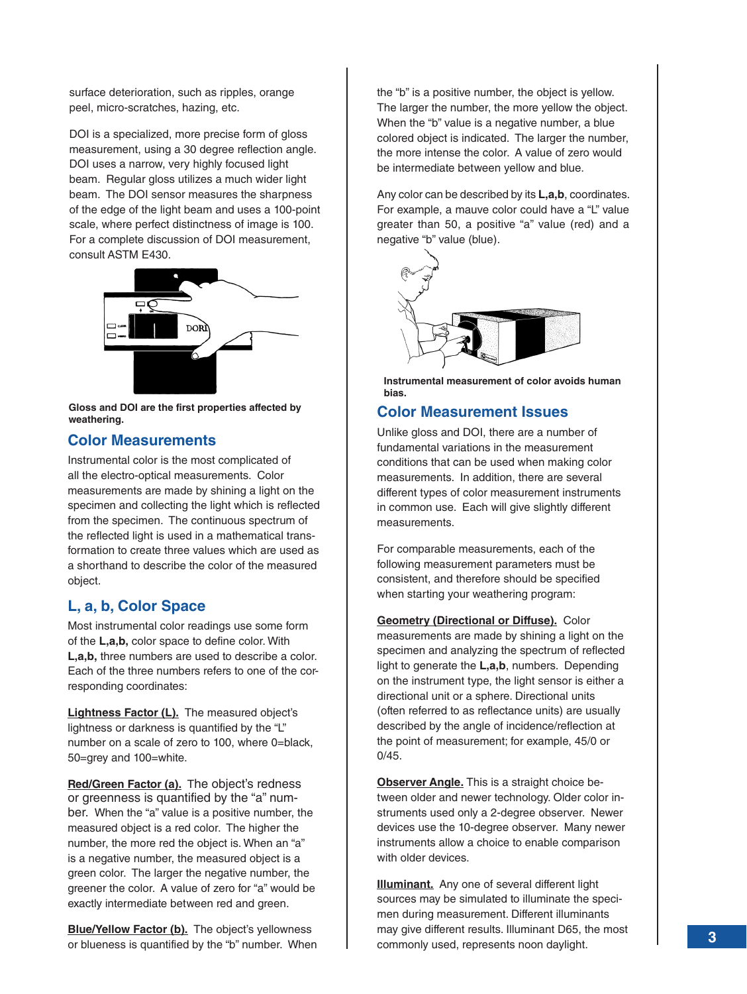surface deterioration, such as ripples, orange peel, micro-scratches, hazing, etc.

DOI is a specialized, more precise form of gloss measurement, using a 30 degree reflection angle. DOI uses a narrow, very highly focused light beam. Regular gloss utilizes a much wider light beam. The DOI sensor measures the sharpness of the edge of the light beam and uses a 100-point scale, where perfect distinctness of image is 100. For a complete discussion of DOI measurement, consult ASTM E430.



**Gloss and DOI are the first properties affected by weathering.**

## **Color Measurements**

Instrumental color is the most complicated of all the electro-optical measurements. Color measurements are made by shining a light on the specimen and collecting the light which is reflected from the specimen. The continuous spectrum of the reflected light is used in a mathematical transformation to create three values which are used as a shorthand to describe the color of the measured object.

# **L, a, b, Color Space**

Most instrumental color readings use some form of the **L,a,b,** color space to define color. With **L,a,b,** three numbers are used to describe a color. Each of the three numbers refers to one of the corresponding coordinates:

**Lightness Factor (L).** The measured object's lightness or darkness is quantified by the "L" number on a scale of zero to 100, where 0=black, 50=grey and 100=white.

**Red/Green Factor (a).** The object's redness or greenness is quantified by the "a" number. When the "a" value is a positive number, the measured object is a red color. The higher the number, the more red the object is. When an "a" is a negative number, the measured object is a green color. The larger the negative number, the greener the color. A value of zero for "a" would be exactly intermediate between red and green.

**Blue/Yellow Factor (b).** The object's yellowness or blueness is quantified by the "b" number. When the "b" is a positive number, the object is yellow. The larger the number, the more yellow the object. When the "b" value is a negative number, a blue colored object is indicated. The larger the number, the more intense the color. A value of zero would be intermediate between yellow and blue.

Any color can be described by its **L,a,b**, coordinates. For example, a mauve color could have a "L" value greater than 50, a positive "a" value (red) and a negative "b" value (blue).



**Instrumental measurement of color avoids human bias.**

# **Color Measurement Issues**

Unlike gloss and DOI, there are a number of fundamental variations in the measurement conditions that can be used when making color measurements. In addition, there are several different types of color measurement instruments in common use. Each will give slightly different measurements.

For comparable measurements, each of the following measurement parameters must be consistent, and therefore should be specified when starting your weathering program:

**Geometry (Directional or Diffuse).** Color measurements are made by shining a light on the specimen and analyzing the spectrum of reflected light to generate the **L,a,b**, numbers. Depending on the instrument type, the light sensor is either a directional unit or a sphere. Directional units (often referred to as reflectance units) are usually described by the angle of incidence/reflection at the point of measurement; for example, 45/0 or 0/45.

**Observer Angle.** This is a straight choice between older and newer technology. Older color instruments used only a 2-degree observer. Newer devices use the 10-degree observer. Many newer instruments allow a choice to enable comparison with older devices.

**Illuminant.** Any one of several different light sources may be simulated to illuminate the specimen during measurement. Different illuminants may give different results. Illuminant D65, the most commonly used, represents noon daylight.